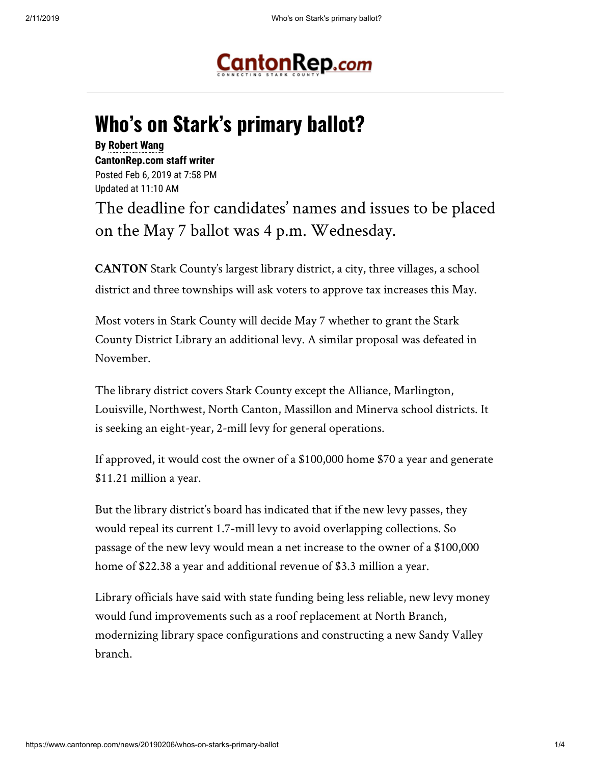

## **Who's on Stark's primary ballot?**

## **By [Robert Wang](mailto:robert.wang@cantonrep.com) CantonRep.com staff writer**  Posted Feb 6, 2019 at 7:58 PM Updated at 11:10 AM

The deadline for candidates' names and issues to be placed on the May 7 ballot was 4 p.m. Wednesday.

**CANTON** Stark County's largest library district, a city, three villages, a school district and three townships will ask voters to approve tax increases this May.

Most voters in Stark County will decide May 7 whether to grant the Stark County District Library an additional levy. A similar proposal was defeated in November.

The library district covers Stark County except the Alliance, Marlington, Louisville, Northwest, North Canton, Massillon and Minerva school districts. It is seeking an eight-year, 2-mill levy for general operations.

If approved, it would cost the owner of a \$100,000 home \$70 a year and generate \$11.21 million a year.

But the library district's board has indicated that if the new levy passes, they would repeal its current 1.7-mill levy to avoid overlapping collections. So passage of the new levy would mean a net increase to the owner of a \$100,000 home of \$22.38 a year and additional revenue of \$3.3 million a year.

Library officials have said with state funding being less reliable, new levy money would fund improvements such as a roof replacement at North Branch, modernizing library space configurations and constructing a new Sandy Valley branch.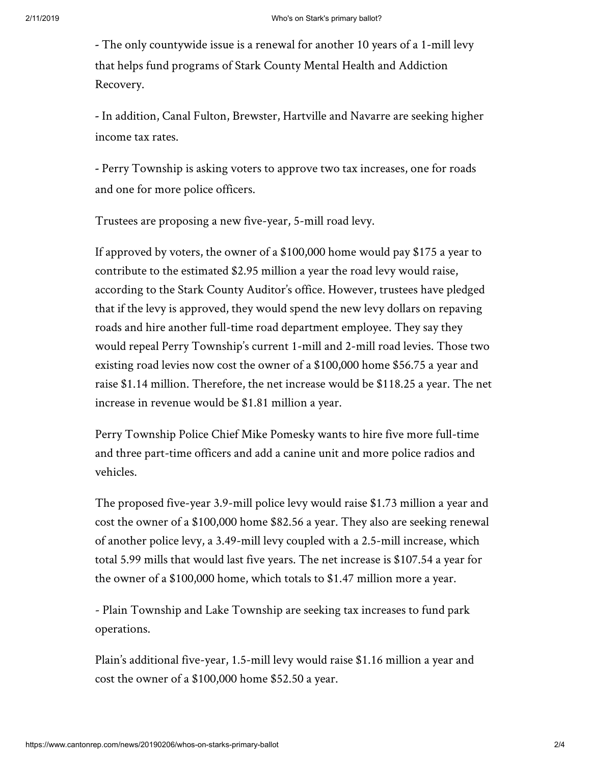**-** The only countywide issue is a renewal for another 10 years of a 1-mill levy that helps fund programs of Stark County Mental Health and Addiction Recovery.

**-** In addition, Canal Fulton, Brewster, Hartville and Navarre are seeking higher income tax rates.

**-** Perry Township is asking voters to approve two tax increases, one for roads and one for more police officers.

Trustees are proposing a new five-year, 5-mill road levy.

If approved by voters, the owner of a \$100,000 home would pay \$175 a year to contribute to the estimated \$2.95 million a year the road levy would raise, according to the Stark County Auditor's office. However, trustees have pledged that if the levy is approved, they would spend the new levy dollars on repaving roads and hire another full-time road department employee. They say they would repeal Perry Township's current 1-mill and 2-mill road levies. Those two existing road levies now cost the owner of a \$100,000 home \$56.75 a year and raise \$1.14 million. Therefore, the net increase would be \$118.25 a year. The net increase in revenue would be \$1.81 million a year.

Perry Township Police Chief Mike Pomesky wants to hire five more full-time and three part-time officers and add a canine unit and more police radios and vehicles.

The proposed five-year 3.9-mill police levy would raise \$1.73 million a year and cost the owner of a \$100,000 home \$82.56 a year. They also are seeking renewal of another police levy, a 3.49-mill levy coupled with a 2.5-mill increase, which total 5.99 mills that would last five years. The net increase is \$107.54 a year for the owner of a \$100,000 home, which totals to \$1.47 million more a year.

- Plain Township and Lake Township are seeking tax increases to fund park operations.

Plain's additional five-year, 1.5-mill levy would raise \$1.16 million a year and cost the owner of a \$100,000 home \$52.50 a year.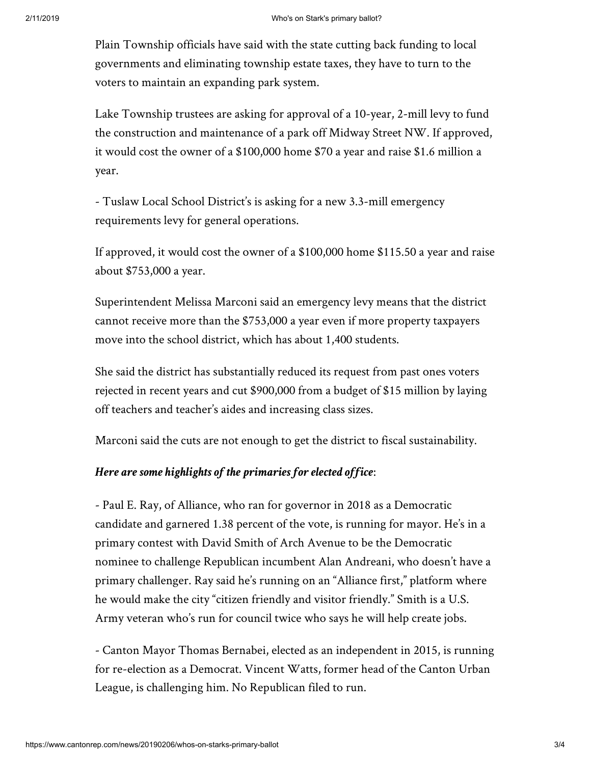Plain Township officials have said with the state cutting back funding to local governments and eliminating township estate taxes, they have to turn to the voters to maintain an expanding park system.

Lake Township trustees are asking for approval of a 10-year, 2-mill levy to fund the construction and maintenance of a park off Midway Street NW. If approved, it would cost the owner of a \$100,000 home \$70 a year and raise \$1.6 million a year.

- Tuslaw Local School District's is asking for a new 3.3-mill emergency requirements levy for general operations.

If approved, it would cost the owner of a \$100,000 home \$115.50 a year and raise about \$753,000 a year.

Superintendent Melissa Marconi said an emergency levy means that the district cannot receive more than the \$753,000 a year even if more property taxpayers move into the school district, which has about 1,400 students.

She said the district has substantially reduced its request from past ones voters rejected in recent years and cut \$900,000 from a budget of \$15 million by laying off teachers and teacher's aides and increasing class sizes.

Marconi said the cuts are not enough to get the district to fiscal sustainability.

## *Here are some highlights of the primaries for elected office*:

- Paul E. Ray, of Alliance, who ran for governor in 2018 as a Democratic candidate and garnered 1.38 percent of the vote, is running for mayor. He's in a primary contest with David Smith of Arch Avenue to be the Democratic nominee to challenge Republican incumbent Alan Andreani, who doesn't have a primary challenger. Ray said he's running on an "Alliance first," platform where he would make the city "citizen friendly and visitor friendly." Smith is a U.S. Army veteran who's run for council twice who says he will help create jobs.

- Canton Mayor Thomas Bernabei, elected as an independent in 2015, is running for re-election as a Democrat. Vincent Watts, former head of the Canton Urban League, is challenging him. No Republican filed to run.